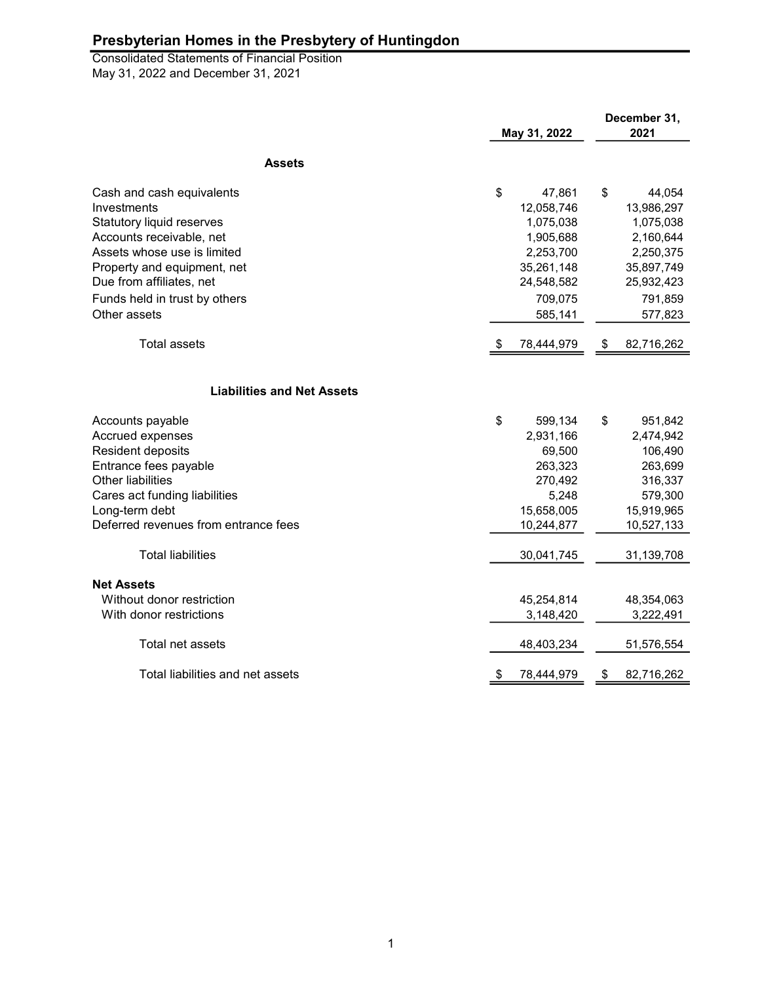May 31, 2022 and December 31, 2021 Consolidated Statements of Financial Position

|                                      | May 31, 2022 |            | December 31,<br>2021 |  |
|--------------------------------------|--------------|------------|----------------------|--|
| <b>Assets</b>                        |              |            |                      |  |
| Cash and cash equivalents            | \$           | 47,861     | \$<br>44,054         |  |
| Investments                          |              | 12,058,746 | 13,986,297           |  |
| Statutory liquid reserves            |              | 1,075,038  | 1,075,038            |  |
| Accounts receivable, net             |              | 1,905,688  | 2,160,644            |  |
| Assets whose use is limited          |              | 2,253,700  | 2,250,375            |  |
| Property and equipment, net          |              | 35,261,148 | 35,897,749           |  |
| Due from affiliates, net             |              | 24,548,582 | 25,932,423           |  |
| Funds held in trust by others        |              | 709,075    | 791,859              |  |
| Other assets                         |              | 585,141    | 577,823              |  |
| <b>Total assets</b>                  | -56          | 78,444,979 | \$<br>82,716,262     |  |
|                                      |              |            |                      |  |
| <b>Liabilities and Net Assets</b>    |              |            |                      |  |
| Accounts payable                     | \$           | 599,134    | \$<br>951,842        |  |
| Accrued expenses                     |              | 2,931,166  | 2,474,942            |  |
| Resident deposits                    |              | 69,500     | 106,490              |  |
| Entrance fees payable                |              | 263,323    | 263,699              |  |
| Other liabilities                    |              | 270,492    | 316,337              |  |
| Cares act funding liabilities        |              | 5,248      | 579,300              |  |
| Long-term debt                       |              | 15,658,005 | 15,919,965           |  |
| Deferred revenues from entrance fees |              | 10,244,877 | 10,527,133           |  |
| <b>Total liabilities</b>             |              | 30,041,745 | 31,139,708           |  |
| <b>Net Assets</b>                    |              |            |                      |  |
| Without donor restriction            |              | 45,254,814 | 48,354,063           |  |
| With donor restrictions              |              | 3,148,420  | 3,222,491            |  |
| Total net assets                     |              | 48,403,234 | 51,576,554           |  |
| Total liabilities and net assets     | \$           | 78,444,979 | \$<br>82,716,262     |  |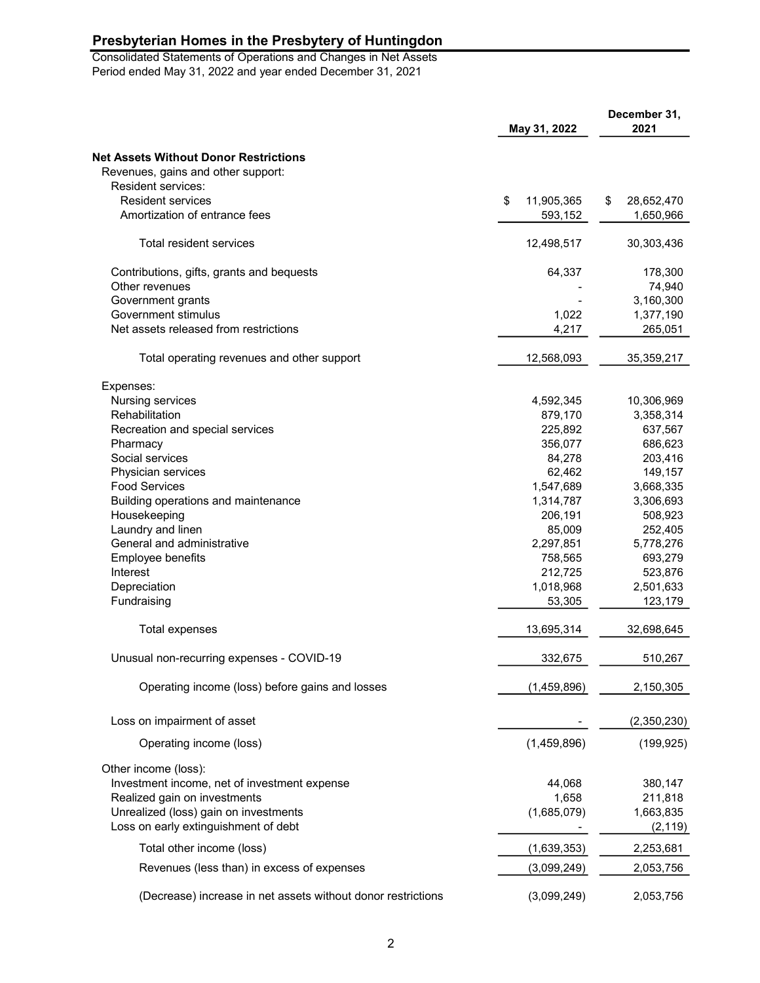Consolidated Statements of Operations and Changes in Net Assets Period ended May 31, 2022 and year ended December 31, 2021

| <b>Net Assets Without Donor Restrictions</b><br>Revenues, gains and other support:<br>Resident services:<br><b>Resident services</b><br>\$<br>11,905,365<br>\$<br>28,652,470<br>Amortization of entrance fees<br>593,152<br>1,650,966<br>Total resident services<br>12,498,517<br>30,303,436<br>Contributions, gifts, grants and bequests<br>64,337<br>178,300<br>Other revenues<br>74,940<br>Government grants<br>3,160,300<br>Government stimulus<br>1,022<br>1,377,190<br>Net assets released from restrictions<br>4,217<br>265,051<br>Total operating revenues and other support<br>12,568,093<br>35,359,217<br>Expenses:<br>Nursing services<br>4,592,345<br>10,306,969<br>Rehabilitation<br>879,170<br>3,358,314<br>225,892<br>Recreation and special services<br>637,567<br>356,077<br>686,623<br>Pharmacy<br>Social services<br>84,278<br>203,416<br>62,462<br>149,157<br>Physician services<br><b>Food Services</b><br>1,547,689<br>3,668,335<br>Building operations and maintenance<br>1,314,787<br>3,306,693<br>Housekeeping<br>206,191<br>508,923<br>Laundry and linen<br>85,009<br>252,405<br>General and administrative<br>2,297,851<br>5,778,276<br>Employee benefits<br>758,565<br>693,279<br>Interest<br>212,725<br>523,876<br>Depreciation<br>1,018,968<br>2,501,633<br>Fundraising<br>53,305<br>123,179<br><b>Total expenses</b><br>13,695,314<br>32,698,645<br>Unusual non-recurring expenses - COVID-19<br>332,675<br>510,267<br>Operating income (loss) before gains and losses<br>(1, 459, 896)<br>2,150,305<br>Loss on impairment of asset<br>(2,350,230)<br>(1,459,896)<br>Operating income (loss)<br>(199, 925)<br>Other income (loss):<br>Investment income, net of investment expense<br>44,068<br>380,147<br>Realized gain on investments<br>1,658<br>211,818<br>Unrealized (loss) gain on investments<br>(1,685,079)<br>1,663,835<br>Loss on early extinguishment of debt<br>(2, 119) | May 31, 2022              |             | December 31,<br>2021 |  |
|---------------------------------------------------------------------------------------------------------------------------------------------------------------------------------------------------------------------------------------------------------------------------------------------------------------------------------------------------------------------------------------------------------------------------------------------------------------------------------------------------------------------------------------------------------------------------------------------------------------------------------------------------------------------------------------------------------------------------------------------------------------------------------------------------------------------------------------------------------------------------------------------------------------------------------------------------------------------------------------------------------------------------------------------------------------------------------------------------------------------------------------------------------------------------------------------------------------------------------------------------------------------------------------------------------------------------------------------------------------------------------------------------------------------------------------------------------------------------------------------------------------------------------------------------------------------------------------------------------------------------------------------------------------------------------------------------------------------------------------------------------------------------------------------------------------------------------------------------------------------------------------------------------------------|---------------------------|-------------|----------------------|--|
|                                                                                                                                                                                                                                                                                                                                                                                                                                                                                                                                                                                                                                                                                                                                                                                                                                                                                                                                                                                                                                                                                                                                                                                                                                                                                                                                                                                                                                                                                                                                                                                                                                                                                                                                                                                                                                                                                                                     |                           |             |                      |  |
|                                                                                                                                                                                                                                                                                                                                                                                                                                                                                                                                                                                                                                                                                                                                                                                                                                                                                                                                                                                                                                                                                                                                                                                                                                                                                                                                                                                                                                                                                                                                                                                                                                                                                                                                                                                                                                                                                                                     |                           |             |                      |  |
|                                                                                                                                                                                                                                                                                                                                                                                                                                                                                                                                                                                                                                                                                                                                                                                                                                                                                                                                                                                                                                                                                                                                                                                                                                                                                                                                                                                                                                                                                                                                                                                                                                                                                                                                                                                                                                                                                                                     |                           |             |                      |  |
|                                                                                                                                                                                                                                                                                                                                                                                                                                                                                                                                                                                                                                                                                                                                                                                                                                                                                                                                                                                                                                                                                                                                                                                                                                                                                                                                                                                                                                                                                                                                                                                                                                                                                                                                                                                                                                                                                                                     |                           |             |                      |  |
|                                                                                                                                                                                                                                                                                                                                                                                                                                                                                                                                                                                                                                                                                                                                                                                                                                                                                                                                                                                                                                                                                                                                                                                                                                                                                                                                                                                                                                                                                                                                                                                                                                                                                                                                                                                                                                                                                                                     |                           |             |                      |  |
|                                                                                                                                                                                                                                                                                                                                                                                                                                                                                                                                                                                                                                                                                                                                                                                                                                                                                                                                                                                                                                                                                                                                                                                                                                                                                                                                                                                                                                                                                                                                                                                                                                                                                                                                                                                                                                                                                                                     |                           |             |                      |  |
|                                                                                                                                                                                                                                                                                                                                                                                                                                                                                                                                                                                                                                                                                                                                                                                                                                                                                                                                                                                                                                                                                                                                                                                                                                                                                                                                                                                                                                                                                                                                                                                                                                                                                                                                                                                                                                                                                                                     |                           |             |                      |  |
|                                                                                                                                                                                                                                                                                                                                                                                                                                                                                                                                                                                                                                                                                                                                                                                                                                                                                                                                                                                                                                                                                                                                                                                                                                                                                                                                                                                                                                                                                                                                                                                                                                                                                                                                                                                                                                                                                                                     |                           |             |                      |  |
|                                                                                                                                                                                                                                                                                                                                                                                                                                                                                                                                                                                                                                                                                                                                                                                                                                                                                                                                                                                                                                                                                                                                                                                                                                                                                                                                                                                                                                                                                                                                                                                                                                                                                                                                                                                                                                                                                                                     |                           |             |                      |  |
|                                                                                                                                                                                                                                                                                                                                                                                                                                                                                                                                                                                                                                                                                                                                                                                                                                                                                                                                                                                                                                                                                                                                                                                                                                                                                                                                                                                                                                                                                                                                                                                                                                                                                                                                                                                                                                                                                                                     |                           |             |                      |  |
|                                                                                                                                                                                                                                                                                                                                                                                                                                                                                                                                                                                                                                                                                                                                                                                                                                                                                                                                                                                                                                                                                                                                                                                                                                                                                                                                                                                                                                                                                                                                                                                                                                                                                                                                                                                                                                                                                                                     |                           |             |                      |  |
|                                                                                                                                                                                                                                                                                                                                                                                                                                                                                                                                                                                                                                                                                                                                                                                                                                                                                                                                                                                                                                                                                                                                                                                                                                                                                                                                                                                                                                                                                                                                                                                                                                                                                                                                                                                                                                                                                                                     |                           |             |                      |  |
|                                                                                                                                                                                                                                                                                                                                                                                                                                                                                                                                                                                                                                                                                                                                                                                                                                                                                                                                                                                                                                                                                                                                                                                                                                                                                                                                                                                                                                                                                                                                                                                                                                                                                                                                                                                                                                                                                                                     |                           |             |                      |  |
|                                                                                                                                                                                                                                                                                                                                                                                                                                                                                                                                                                                                                                                                                                                                                                                                                                                                                                                                                                                                                                                                                                                                                                                                                                                                                                                                                                                                                                                                                                                                                                                                                                                                                                                                                                                                                                                                                                                     |                           |             |                      |  |
|                                                                                                                                                                                                                                                                                                                                                                                                                                                                                                                                                                                                                                                                                                                                                                                                                                                                                                                                                                                                                                                                                                                                                                                                                                                                                                                                                                                                                                                                                                                                                                                                                                                                                                                                                                                                                                                                                                                     |                           |             |                      |  |
|                                                                                                                                                                                                                                                                                                                                                                                                                                                                                                                                                                                                                                                                                                                                                                                                                                                                                                                                                                                                                                                                                                                                                                                                                                                                                                                                                                                                                                                                                                                                                                                                                                                                                                                                                                                                                                                                                                                     |                           |             |                      |  |
|                                                                                                                                                                                                                                                                                                                                                                                                                                                                                                                                                                                                                                                                                                                                                                                                                                                                                                                                                                                                                                                                                                                                                                                                                                                                                                                                                                                                                                                                                                                                                                                                                                                                                                                                                                                                                                                                                                                     |                           |             |                      |  |
|                                                                                                                                                                                                                                                                                                                                                                                                                                                                                                                                                                                                                                                                                                                                                                                                                                                                                                                                                                                                                                                                                                                                                                                                                                                                                                                                                                                                                                                                                                                                                                                                                                                                                                                                                                                                                                                                                                                     |                           |             |                      |  |
|                                                                                                                                                                                                                                                                                                                                                                                                                                                                                                                                                                                                                                                                                                                                                                                                                                                                                                                                                                                                                                                                                                                                                                                                                                                                                                                                                                                                                                                                                                                                                                                                                                                                                                                                                                                                                                                                                                                     |                           |             |                      |  |
|                                                                                                                                                                                                                                                                                                                                                                                                                                                                                                                                                                                                                                                                                                                                                                                                                                                                                                                                                                                                                                                                                                                                                                                                                                                                                                                                                                                                                                                                                                                                                                                                                                                                                                                                                                                                                                                                                                                     |                           |             |                      |  |
|                                                                                                                                                                                                                                                                                                                                                                                                                                                                                                                                                                                                                                                                                                                                                                                                                                                                                                                                                                                                                                                                                                                                                                                                                                                                                                                                                                                                                                                                                                                                                                                                                                                                                                                                                                                                                                                                                                                     |                           |             |                      |  |
|                                                                                                                                                                                                                                                                                                                                                                                                                                                                                                                                                                                                                                                                                                                                                                                                                                                                                                                                                                                                                                                                                                                                                                                                                                                                                                                                                                                                                                                                                                                                                                                                                                                                                                                                                                                                                                                                                                                     |                           |             |                      |  |
|                                                                                                                                                                                                                                                                                                                                                                                                                                                                                                                                                                                                                                                                                                                                                                                                                                                                                                                                                                                                                                                                                                                                                                                                                                                                                                                                                                                                                                                                                                                                                                                                                                                                                                                                                                                                                                                                                                                     |                           |             |                      |  |
|                                                                                                                                                                                                                                                                                                                                                                                                                                                                                                                                                                                                                                                                                                                                                                                                                                                                                                                                                                                                                                                                                                                                                                                                                                                                                                                                                                                                                                                                                                                                                                                                                                                                                                                                                                                                                                                                                                                     |                           |             |                      |  |
|                                                                                                                                                                                                                                                                                                                                                                                                                                                                                                                                                                                                                                                                                                                                                                                                                                                                                                                                                                                                                                                                                                                                                                                                                                                                                                                                                                                                                                                                                                                                                                                                                                                                                                                                                                                                                                                                                                                     |                           |             |                      |  |
|                                                                                                                                                                                                                                                                                                                                                                                                                                                                                                                                                                                                                                                                                                                                                                                                                                                                                                                                                                                                                                                                                                                                                                                                                                                                                                                                                                                                                                                                                                                                                                                                                                                                                                                                                                                                                                                                                                                     |                           |             |                      |  |
|                                                                                                                                                                                                                                                                                                                                                                                                                                                                                                                                                                                                                                                                                                                                                                                                                                                                                                                                                                                                                                                                                                                                                                                                                                                                                                                                                                                                                                                                                                                                                                                                                                                                                                                                                                                                                                                                                                                     |                           |             |                      |  |
|                                                                                                                                                                                                                                                                                                                                                                                                                                                                                                                                                                                                                                                                                                                                                                                                                                                                                                                                                                                                                                                                                                                                                                                                                                                                                                                                                                                                                                                                                                                                                                                                                                                                                                                                                                                                                                                                                                                     |                           |             |                      |  |
|                                                                                                                                                                                                                                                                                                                                                                                                                                                                                                                                                                                                                                                                                                                                                                                                                                                                                                                                                                                                                                                                                                                                                                                                                                                                                                                                                                                                                                                                                                                                                                                                                                                                                                                                                                                                                                                                                                                     |                           |             |                      |  |
|                                                                                                                                                                                                                                                                                                                                                                                                                                                                                                                                                                                                                                                                                                                                                                                                                                                                                                                                                                                                                                                                                                                                                                                                                                                                                                                                                                                                                                                                                                                                                                                                                                                                                                                                                                                                                                                                                                                     |                           |             |                      |  |
|                                                                                                                                                                                                                                                                                                                                                                                                                                                                                                                                                                                                                                                                                                                                                                                                                                                                                                                                                                                                                                                                                                                                                                                                                                                                                                                                                                                                                                                                                                                                                                                                                                                                                                                                                                                                                                                                                                                     |                           |             |                      |  |
|                                                                                                                                                                                                                                                                                                                                                                                                                                                                                                                                                                                                                                                                                                                                                                                                                                                                                                                                                                                                                                                                                                                                                                                                                                                                                                                                                                                                                                                                                                                                                                                                                                                                                                                                                                                                                                                                                                                     |                           |             |                      |  |
|                                                                                                                                                                                                                                                                                                                                                                                                                                                                                                                                                                                                                                                                                                                                                                                                                                                                                                                                                                                                                                                                                                                                                                                                                                                                                                                                                                                                                                                                                                                                                                                                                                                                                                                                                                                                                                                                                                                     |                           |             |                      |  |
|                                                                                                                                                                                                                                                                                                                                                                                                                                                                                                                                                                                                                                                                                                                                                                                                                                                                                                                                                                                                                                                                                                                                                                                                                                                                                                                                                                                                                                                                                                                                                                                                                                                                                                                                                                                                                                                                                                                     |                           |             |                      |  |
|                                                                                                                                                                                                                                                                                                                                                                                                                                                                                                                                                                                                                                                                                                                                                                                                                                                                                                                                                                                                                                                                                                                                                                                                                                                                                                                                                                                                                                                                                                                                                                                                                                                                                                                                                                                                                                                                                                                     |                           |             |                      |  |
|                                                                                                                                                                                                                                                                                                                                                                                                                                                                                                                                                                                                                                                                                                                                                                                                                                                                                                                                                                                                                                                                                                                                                                                                                                                                                                                                                                                                                                                                                                                                                                                                                                                                                                                                                                                                                                                                                                                     |                           |             |                      |  |
|                                                                                                                                                                                                                                                                                                                                                                                                                                                                                                                                                                                                                                                                                                                                                                                                                                                                                                                                                                                                                                                                                                                                                                                                                                                                                                                                                                                                                                                                                                                                                                                                                                                                                                                                                                                                                                                                                                                     |                           |             |                      |  |
|                                                                                                                                                                                                                                                                                                                                                                                                                                                                                                                                                                                                                                                                                                                                                                                                                                                                                                                                                                                                                                                                                                                                                                                                                                                                                                                                                                                                                                                                                                                                                                                                                                                                                                                                                                                                                                                                                                                     |                           |             |                      |  |
|                                                                                                                                                                                                                                                                                                                                                                                                                                                                                                                                                                                                                                                                                                                                                                                                                                                                                                                                                                                                                                                                                                                                                                                                                                                                                                                                                                                                                                                                                                                                                                                                                                                                                                                                                                                                                                                                                                                     | Total other income (loss) | (1,639,353) | 2,253,681            |  |
| Revenues (less than) in excess of expenses<br>(3,099,249)<br>2,053,756                                                                                                                                                                                                                                                                                                                                                                                                                                                                                                                                                                                                                                                                                                                                                                                                                                                                                                                                                                                                                                                                                                                                                                                                                                                                                                                                                                                                                                                                                                                                                                                                                                                                                                                                                                                                                                              |                           |             |                      |  |
| (Decrease) increase in net assets without donor restrictions<br>(3,099,249)<br>2,053,756                                                                                                                                                                                                                                                                                                                                                                                                                                                                                                                                                                                                                                                                                                                                                                                                                                                                                                                                                                                                                                                                                                                                                                                                                                                                                                                                                                                                                                                                                                                                                                                                                                                                                                                                                                                                                            |                           |             |                      |  |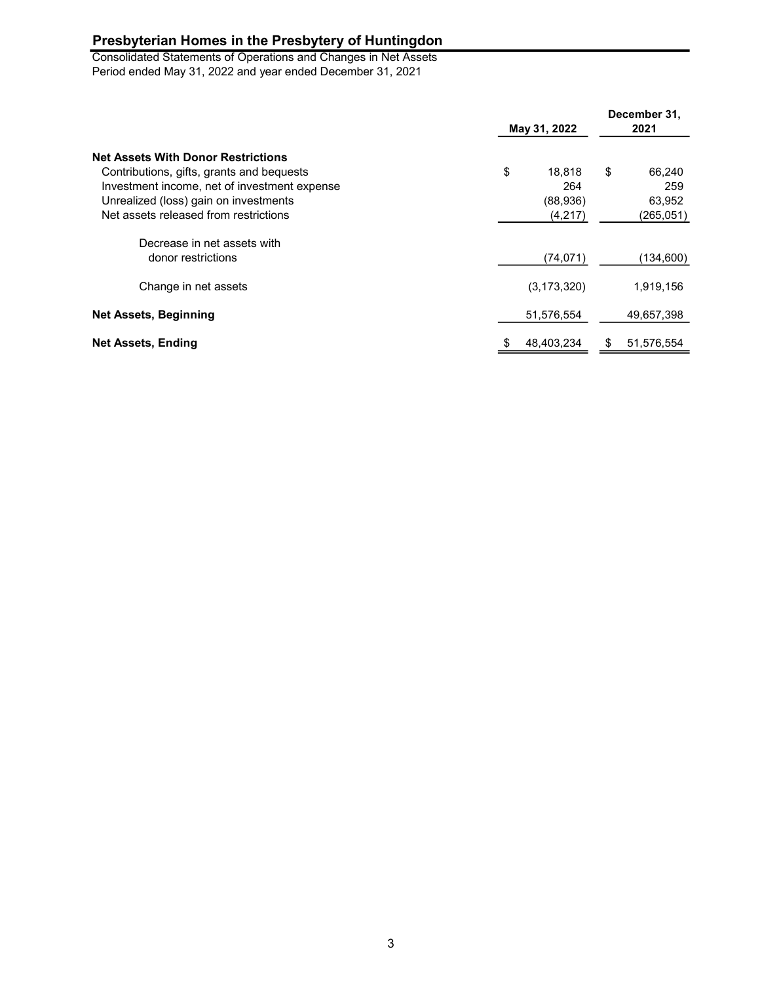Consolidated Statements of Operations and Changes in Net Assets Period ended May 31, 2022 and year ended December 31, 2021

| <b>Net Assets With Donor Restrictions</b><br>Contributions, gifts, grants and bequests<br>Investment income, net of investment expense<br>Unrealized (loss) gain on investments<br>Net assets released from restrictions | May 31, 2022                               | December 31,<br>2021                        |  |
|--------------------------------------------------------------------------------------------------------------------------------------------------------------------------------------------------------------------------|--------------------------------------------|---------------------------------------------|--|
|                                                                                                                                                                                                                          | \$<br>18.818<br>264<br>(88,936)<br>(4,217) | \$<br>66,240<br>259<br>63,952<br>(265, 051) |  |
| Decrease in net assets with<br>donor restrictions                                                                                                                                                                        | (74, 071)                                  | (134,600)                                   |  |
| Change in net assets                                                                                                                                                                                                     | (3, 173, 320)                              | 1,919,156                                   |  |
| <b>Net Assets, Beginning</b>                                                                                                                                                                                             | 51,576,554                                 | 49,657,398                                  |  |
| Net Assets, Ending                                                                                                                                                                                                       | 48,403,234                                 | 51,576,554<br>æ.                            |  |